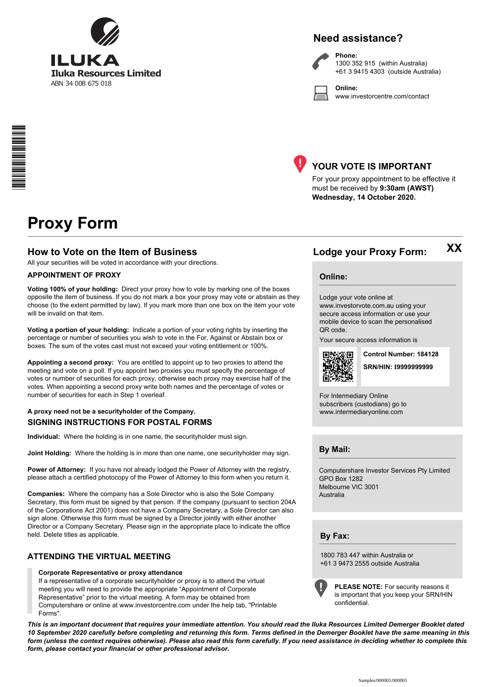

# **Need assistance?**

**Phone:**



1300 352 915 (within Australia) +61 3 9415 4303 (outside Australia)

**Online:** www.investorcentre.com/contact



# **YOUR VOTE IS IMPORTANT**

For your proxy appointment to be effective it must be received by **9:30am (AWST) Wednesday, 14 October 2020.**

# **Proxy Form**

### **How to Vote on the Item of Business Lodge your Proxy Form:**

All your securities will be voted in accordance with your directions.

#### **APPOINTMENT OF PROXY**

**Voting 100% of your holding:** Direct your proxy how to vote by marking one of the boxes opposite the item of business. If you do not mark a box your proxy may vote or abstain as they choose (to the extent permitted by law). If you mark more than one box on the item your vote will be invalid on that item.

**Voting a portion of your holding:** Indicate a portion of your voting rights by inserting the percentage or number of securities you wish to vote in the For, Against or Abstain box or boxes. The sum of the votes cast must not exceed your voting entitlement or 100%.

**Appointing a second proxy:** You are entitled to appoint up to two proxies to attend the meeting and vote on a poll. If you appoint two proxies you must specify the percentage of votes or number of securities for each proxy, otherwise each proxy may exercise half of the votes. When appointing a second proxy write both names and the percentage of votes or number of securities for each in Step 1 overleaf.

#### **SIGNING INSTRUCTIONS FOR POSTAL FORMS A proxy need not be a securityholder of the Company.**

**Individual:** Where the holding is in one name, the securityholder must sign.

**Joint Holding:** Where the holding is in more than one name, one securityholder may sign.

**Power of Attorney:** If you have not already lodged the Power of Attorney with the registry, please attach a certified photocopy of the Power of Attorney to this form when you return it.

**Companies:** Where the company has a Sole Director who is also the Sole Company Secretary, this form must be signed by that person. If the company (pursuant to section 204A of the Corporations Act 2001) does not have a Company Secretary, a Sole Director can also sign alone. Otherwise this form must be signed by a Director jointly with either another Director or a Company Secretary. Please sign in the appropriate place to indicate the office held. Delete titles as applicable.

#### **ATTENDING THE VIRTUAL MEETING**

#### **Corporate Representative or proxy attendance**

If a representative of a corporate securityholder or proxy is to attend the virtual meeting you will need to provide the appropriate "Appointment of Corporate Representative" prior to the virtual meeting. A form may be obtained from Computershare or online at www.investorcentre.com under the help tab, "Printable Forms".

**PLEASE NOTE:** For security reasons it is important that you keep your SRN/HIN confidential.

*This is an important document that requires your immediate attention. You should read the Iluka Resources Limited Demerger Booklet dated 10 September 2020 carefully before completing and returning this form. Terms defined in the Demerger Booklet have the same meaning in this form (unless the context requires otherwise). Please also read this form carefully. If you need assistance in deciding whether to complete this form, please contact your financial or other professional advisor.*

**XX**

**Online:**

Lodge your vote online at

www.investorvote.com.au using your secure access information or use your mobile device to scan the personalised QR code.

Your secure access information is



**SRN/HIN: I9999999999 Control Number: 184128**

For Intermediary Online subscribers (custodians) go to www.intermediaryonline.com

**By Mail:**

Computershare Investor Services Pty Limited GPO Box 1282 Melbourne VIC 3001 Australia

1800 783 447 within Australia or +61 3 9473 2555 outside Australia

**By Fax:**

Samples/000001/000001